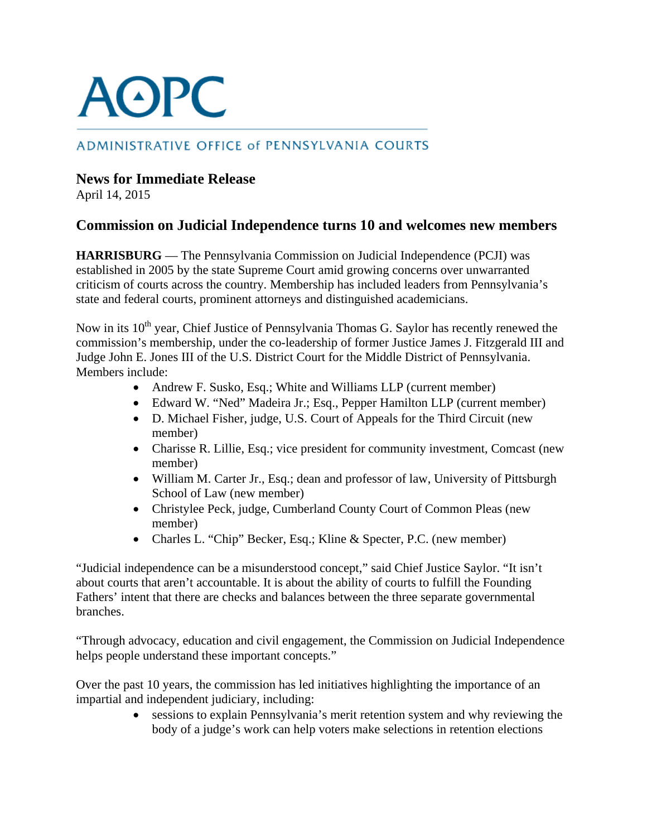## **AOPC**

## ADMINISTRATIVE OFFICE of PENNSYLVANIA COURTS

## **News for Immediate Release**

April 14, 2015

## **Commission on Judicial Independence turns 10 and welcomes new members**

**HARRISBURG** — The Pennsylvania Commission on Judicial Independence (PCJI) was established in 2005 by the state Supreme Court amid growing concerns over unwarranted criticism of courts across the country. Membership has included leaders from Pennsylvania's state and federal courts, prominent attorneys and distinguished academicians.

Now in its 10<sup>th</sup> year, Chief Justice of Pennsylvania Thomas G. Saylor has recently renewed the commission's membership, under the co-leadership of former Justice James J. Fitzgerald III and Judge John E. Jones III of the U.S. District Court for the Middle District of Pennsylvania. Members include:

- Andrew F. Susko, Esq.; White and Williams LLP (current member)
- Edward W. "Ned" Madeira Jr.; Esq., Pepper Hamilton LLP (current member)
- D. Michael Fisher, judge, U.S. Court of Appeals for the Third Circuit (new member)
- Charisse R. Lillie, Esq.; vice president for community investment, Comcast (new member)
- William M. Carter Jr., Esq.; dean and professor of law, University of Pittsburgh School of Law (new member)
- Christylee Peck, judge, Cumberland County Court of Common Pleas (new member)
- Charles L. "Chip" Becker, Esq.; Kline & Specter, P.C. (new member)

"Judicial independence can be a misunderstood concept," said Chief Justice Saylor. "It isn't about courts that aren't accountable. It is about the ability of courts to fulfill the Founding Fathers' intent that there are checks and balances between the three separate governmental branches.

"Through advocacy, education and civil engagement, the Commission on Judicial Independence helps people understand these important concepts."

Over the past 10 years, the commission has led initiatives highlighting the importance of an impartial and independent judiciary, including:

• sessions to explain Pennsylvania's merit retention system and why reviewing the body of a judge's work can help voters make selections in retention elections